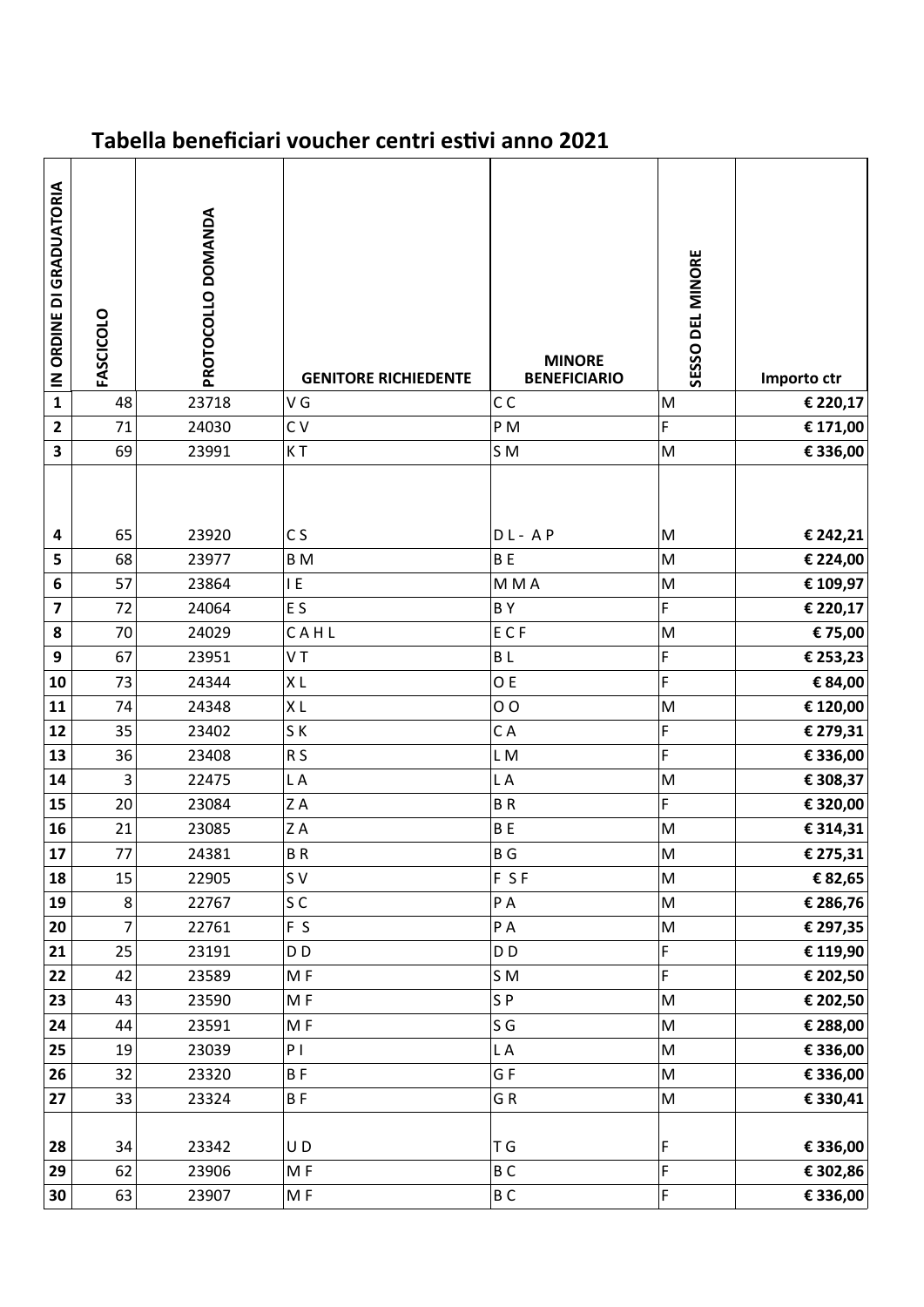## **Tabella beneficiari voucher centri estivi anno 2021**

| IN ORDINE DI GRADUATORIA | FASCICOLO | PROTOCOLLO DOMANDA | <b>GENITORE RICHIEDENTE</b> | <b>MINORE</b><br><b>BENEFICIARIO</b> | SESSO DEL MINORE                                                                                           | Importo ctr |
|--------------------------|-----------|--------------------|-----------------------------|--------------------------------------|------------------------------------------------------------------------------------------------------------|-------------|
| $\overline{\mathbf{1}}$  | 48        | 23718              | V G                         | C <sub>C</sub>                       | M                                                                                                          | € 220,17    |
| $\mathbf{2}$             | 71        | 24030              | C V                         | PM                                   | F                                                                                                          | € 171,00    |
| $\overline{\mathbf{3}}$  | 69        | 23991              | KT                          | S <sub>M</sub>                       | ${\sf M}$                                                                                                  | € 336,00    |
| 4                        | 65        | 23920              | C <sub>S</sub>              | $DL-AP$                              | M                                                                                                          | € 242,21    |
| 5                        | 68        | 23977              | B M                         | <b>BE</b>                            | ${\sf M}$                                                                                                  | € 224,00    |
| 6                        | 57        | 23864              | E                           | M M A                                | ${\sf M}$                                                                                                  | € 109,97    |
| $\overline{\mathbf{z}}$  | 72        | 24064              | E S                         | BY                                   | F                                                                                                          | € 220,17    |
| 8                        | 70        | 24029              | CAHL                        | ECF                                  | ${\sf M}$                                                                                                  | € 75,00     |
| 9                        | 67        | 23951              | VT                          | <b>BL</b>                            | F                                                                                                          | € 253,23    |
| 10                       | 73        | 24344              | XL                          | O E                                  | F                                                                                                          | € 84,00     |
| 11                       | 74        | 24348              | XL                          | 0 <sub>0</sub>                       | M                                                                                                          | € 120,00    |
| 12                       | 35        | 23402              | SK                          | CA                                   | F                                                                                                          | € 279,31    |
| 13                       | 36        | 23408              | R <sub>S</sub>              | LM                                   | F                                                                                                          | € 336,00    |
| 14                       | 3         | 22475              | LA                          | L A                                  | M                                                                                                          | € 308,37    |
| 15                       | 20        | 23084              | ZA                          | <b>BR</b>                            | F                                                                                                          | € 320,00    |
| 16                       | 21        | 23085              | ZA                          | <b>BE</b>                            | ${\sf M}$                                                                                                  | € 314,31    |
| $17$                     | 77        | 24381              | <b>BR</b>                   | <b>BG</b>                            | $\sf M$                                                                                                    | € 275,31    |
| 18                       | 15        | 22905              | S V                         | F SF                                 | ${\sf M}$                                                                                                  | € 82,65     |
| 19                       | 8         | 22767              | SC                          | PA                                   | ${\sf M}$                                                                                                  | € 286,76    |
| 20                       | 7         | 22761              | F S                         | PA                                   | ${\sf M}$                                                                                                  | € 297,35    |
| 21                       | 25        | 23191              | D <sub>D</sub>              | D <sub>D</sub>                       | F                                                                                                          | € 119,90    |
| 22                       | 42        | 23589              | MF                          | SM                                   | F                                                                                                          | € 202,50    |
| 23                       | 43        | 23590              | MF                          | SP                                   | $\mathsf{M}% _{T}=\mathsf{M}_{T}\!\left( a,b\right) ,\ \mathsf{M}_{T}=\mathsf{M}_{T}\!\left( a,b\right) ,$ | € 202,50    |
| 24                       | 44        | 23591              | MF                          | S G                                  | M                                                                                                          | € 288,00    |
| 25                       | 19        | 23039              | P <sub>1</sub>              | L A                                  | ${\sf M}$                                                                                                  | € 336,00    |
| 26                       | 32        | 23320              | <b>BF</b>                   | GF                                   | ${\sf M}$                                                                                                  | € 336,00    |
| 27                       | 33        | 23324              | BF                          | GR                                   | M                                                                                                          | € 330,41    |
| 28                       | 34        | 23342              | UD                          | T G                                  | F                                                                                                          | € 336,00    |
| 29                       | 62        | 23906              | MF                          | B <sub>C</sub>                       | F                                                                                                          | € 302,86    |
| 30                       | 63        | 23907              | MF                          | BC                                   | F                                                                                                          | € 336,00    |